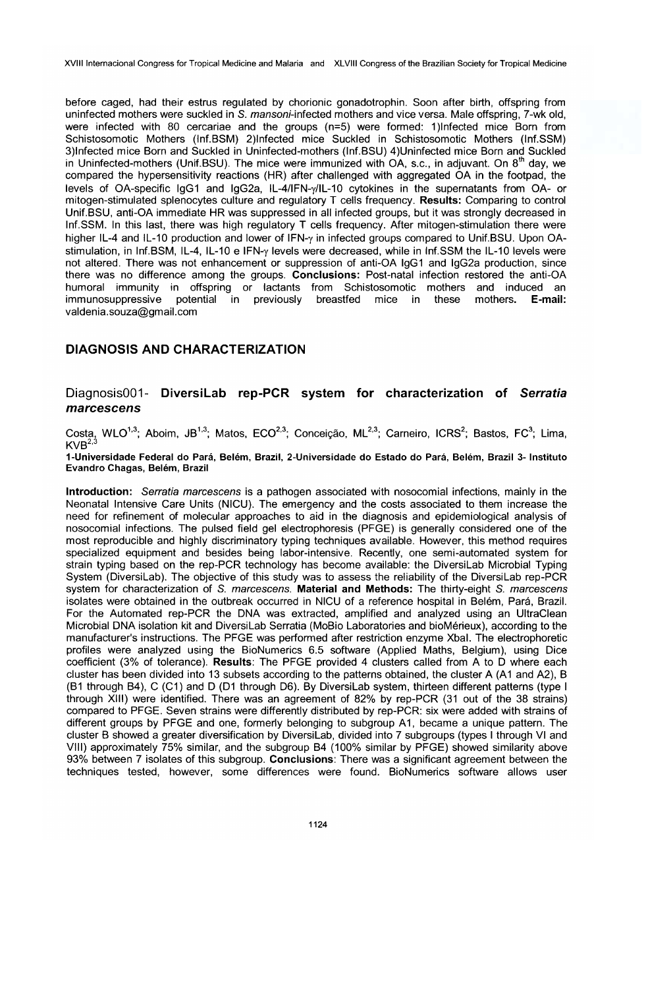XVIII Internacional Congress for Tropical Medicine and Malaria and XLVIII Congress of the Brazilian Society for Tropical Medicine

before caged, had their estrus regulated by chorionic gonadotrophin. Soon after birth, offspring from uninfected mothers were suckled in S. mansoni-infected mothers and vice versa. Male offspring, 7-wk old, were infected with 80 cercariae and the groups  $(n=5)$  were formed: 1)Infected mice Born from Schistosomotic Mothers (Inf.BSM) 2)lnfected mice Suckled in Schistosomotic Mothers (Inf.SSM) 3)lnfected mice Born and Suckled in Uninfected-mothers (Inf.BSU) 4)Uninfected mice Born and Suckled in Uninfected-mothers (Unif.BSU). The mice were immunized with  $OA$ , s.c., in adjuvant. On  $8<sup>th</sup>$  day, we compared the hypersensitivity reactions (HR) after challenged with aggregated OA in the footpad, the levels of OA-specific IgG1 and IgG2a, IL-4/IFN-y/IL-10 cytokines in lhe supernatants from OA- or mitogen-stimulated splenocytes culture and regulatory T cells frequency. Results: Comparing to control Unif.BSU, anti-OA immediate HR was suppressed in ali infected groups, but it was strongly decreased in Inf.SSM. In this last, there was high regulatory T cells frequency. After mitogen-stimulation there were higher IL-4 and IL-10 production and lower of IFN-y in infected groups compared to Unif.BSU. Upon OAstimulation, in Inf.BSM, IL-4, IL-10 e IFN-y levels were decreased, while in Inf.SSM the IL-10 levels were not altered. There was not enhancement or suppression of anti-OA IgG1 and IgG2a production, since there was no difference among the groups. Conclusions: Post-natal infection restored the anti-OA humoral immunity in offspring or lactants from Schistosomotic mothers and induced an immunosuppressive potential in previously breastfed mice in these mothers. E-mail: valdenia.souza@gmail.com

# DIAGNOSIS AND CHARACTERIZATION

# Diagnosis001- DiversiLab rep-PCR system for characterization of Serratia marcescens

Costa, WLO<sup>1,3</sup>; Aboim, JB<sup>1,3</sup>; Matos, ECO<sup>2,3</sup>; Conceição, ML<sup>2,3</sup>; Carneiro, ICRS<sup>2</sup>; Bastos, FC<sup>3</sup>; Lima,  $KVB<sup>2,3</sup>$ 

1-Universidade Federal do Pará, Belém, Brazil, 2-Universidade do Estado do Pará, Belém, Brazil 3- Instituto Evandro Chagas, Belém, Brazil

Introduction: Serratia marcescens is a pathogen associated with nosocomial infections, mainly in the Neonatal Intensive Care Units (NICU). The emergency and lhe costs associated to them increase lhe need for refinement of molecular approaches to aid in lhe diagnosis and epidemiological analysis of nosocomial infections. The pulsed field gel electrophoresis (PFGE) is generally considered one of lhe most reproducible and highly discriminatory typing techniques available. However, this method requires specialized equipment and besides being labor-intensive. Recently, one semi-automated system for strain typing based on the rep-PCR technology has become available: the DiversiLab Microbial Typing System (DiversiLab). The objective of this study was to assess lhe reliability of lhe DiversiLab rep-PCR system for characterization of S. marcescens. Material and Methods: The thirty-eight S. marcescens isolates were obtained in the outbreak occurred in NICU of a reference hospital in Belém, Pará, Brazil. For the Automated rep-PCR the DNA was extracted, amplified and analyzed using an UltraClean Microbial DNA isolation kit and DiversiLab Serratia (MoBio Laboratories and bioMérieux), according to lhe manufacturer's instructions. The PFGE was performed after restriction enzyme Xbal. The electrophoretic profiles were analyzed using the BioNumerics 6.5 software (Applied Maths, Belgium), using Dice coefficient (3% of tolerance). Results: The PFGE provided 4 clusters called from A to D where each cluster has been divided into 13 subsets according to the patterns obtained, the cluster A (A1 and A2), B (B1 through B4), C (C1) and D (D1 through D6). By DiversiLab system, thirteen different patterns (type I through XIII) were identified. There was an agreement of 82% by rep-PCR (31 out of lhe 38 strains) compared to PFGE. Seven strains were differently distributed by rep-PCR: six were added with strains of different groups by PFGE and one, formerly belonging to subgroup A1, became a unique pattern. The cluster B showed a greater diversification by DiversiLab, divided into 7 subgroups (types I through VI and VIII) approximately 75% similar, and the subgroup B4 (100% similar by PFGE) showed similarity above 93% between 7 isolates of this subgroup. Conclusions: There was a significant agreement between the techniques tested, however, some differences were found. BioNumerics software allows user